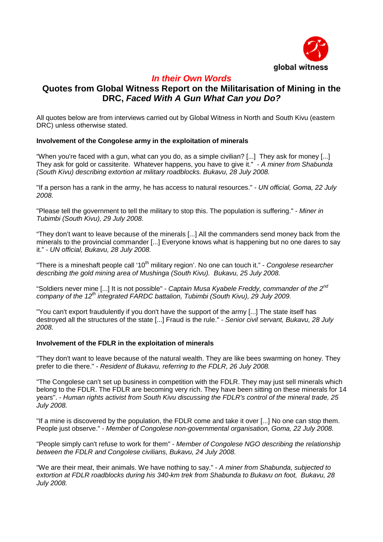

# **In their Own Words**

## **Quotes from Global Witness Report on the Militarisation of Mining in the DRC, Faced With A Gun What Can you Do?**

All quotes below are from interviews carried out by Global Witness in North and South Kivu (eastern DRC) unless otherwise stated.

## **Involvement of the Congolese army in the exploitation of minerals**

"When you're faced with a gun, what can you do, as a simple civilian? [...] They ask for money [...] They ask for gold or cassiterite. Whatever happens, you have to give it." - A miner from Shabunda (South Kivu) describing extortion at military roadblocks. Bukavu, 28 July 2008.

"If a person has a rank in the army, he has access to natural resources." - UN official, Goma, 22 July 2008.

"Please tell the government to tell the military to stop this. The population is suffering." - Miner in Tubimbi (South Kivu), 29 July 2008.

"They don't want to leave because of the minerals [...] All the commanders send money back from the minerals to the provincial commander [...] Everyone knows what is happening but no one dares to say it." - UN official, Bukavu, 28 July 2008.

"There is a mineshaft people call '10<sup>th</sup> military region'. No one can touch it." - Congolese researcher describing the gold mining area of Mushinga (South Kivu). Bukavu, 25 July 2008.

"Soldiers never mine [...] It is not possible" - Captain Musa Kyabele Freddy, commander of the  $2^{nd}$ company of the  $12^{th}$  integrated FARDC battalion, Tubimbi (South Kivu), 29 July 2009.

"You can't export fraudulently if you don't have the support of the army [...] The state itself has destroyed all the structures of the state [...] Fraud is the rule." - Senior civil servant, Bukavu, 28 July 2008.

## **Involvement of the FDLR in the exploitation of minerals**

"They don't want to leave because of the natural wealth. They are like bees swarming on honey. They prefer to die there." - Resident of Bukavu, referring to the FDLR, 26 July 2008.

"The Congolese can't set up business in competition with the FDLR. They may just sell minerals which belong to the FDLR. The FDLR are becoming very rich. They have been sitting on these minerals for 14 years". - Human rights activist from South Kivu discussing the FDLR's control of the mineral trade, 25 July 2008.

"If a mine is discovered by the population, the FDLR come and take it over [...] No one can stop them. People just observe." - Member of Congolese non-governmental organisation, Goma, 22 July 2008.

"People simply can't refuse to work for them" - Member of Congolese NGO describing the relationship between the FDLR and Congolese civilians, Bukavu, 24 July 2008.

"We are their meat, their animals. We have nothing to say." - A miner from Shabunda, subjected to extortion at FDLR roadblocks during his 340-km trek from Shabunda to Bukavu on foot, Bukavu, 28 July 2008.